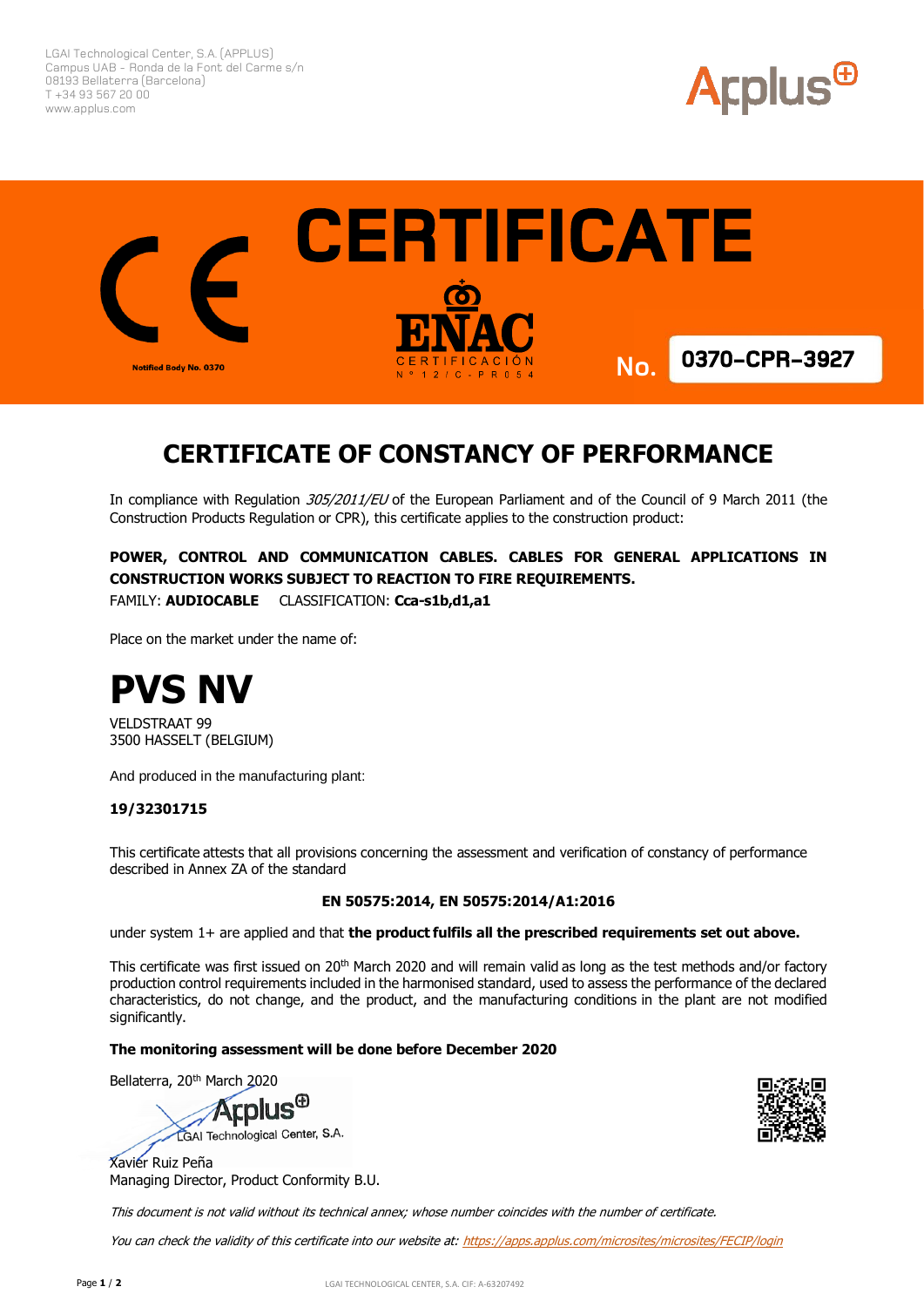LGAI Technological Center, S.A. (APPLUS) Campus UAB - Ronda de la Font del Carme s/n 08193 Bellaterra (Barcelona) T +34 93 567 20 00 www.applus.com





# **CERTIFICATE OF CONSTANCY OF PERFORMANCE**

In compliance with Regulation 305/2011/EU of the European Parliament and of the Council of 9 March 2011 (the Construction Products Regulation or CPR), this certificate applies to the construction product:

**POWER, CONTROL AND COMMUNICATION CABLES. CABLES FOR GENERAL APPLICATIONS IN CONSTRUCTION WORKS SUBJECT TO REACTION TO FIRE REQUIREMENTS.** FAMILY: **AUDIOCABLE** CLASSIFICATION: **Cca-s1b,d1,a1**

Place on the market under the name of:



VELDSTRAAT 99 3500 HASSELT (BELGIUM)

And produced in the manufacturing plant:

### **19/32301715**

This certificate attests that all provisions concerning the assessment and verification of constancy of performance described in Annex ZA of the standard

#### **EN 50575:2014, EN 50575:2014/A1:2016**

under system 1+ are applied and that **the product fulfils all the prescribed requirements set out above.**

This certificate was first issued on  $20<sup>th</sup>$  March 2020 and will remain valid as long as the test methods and/or factory production control requirements included in the harmonised standard, used to assess the performance of the declared characteristics, do not change, and the product, and the manufacturing conditions in the plant are not modified significantly.

#### **The monitoring assessment will be done before December 2020**

Bellaterra, 20th March 2020

**Arplus<sup>®</sup>** LGAI Technological Center, S.A.

Xavier Ruiz Peña Managing Director, Product Conformity B.U.



This document is not valid without its technical annex; whose number coincides with the number of certificate.

You can check the validity of this certificate into our website at: https://apps.applus.com/microsites/microsites/FECIP/login